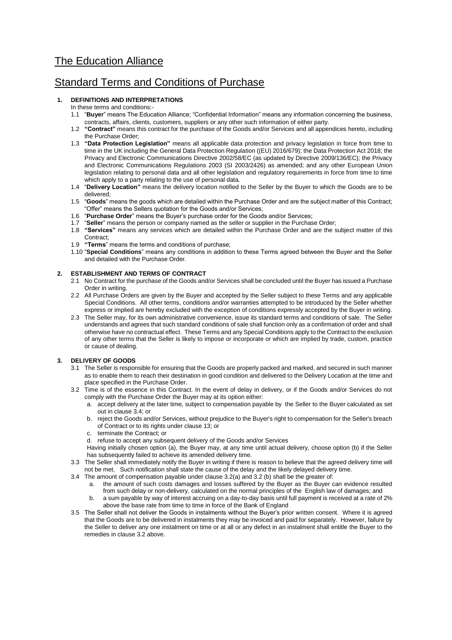# The Education Alliance

# Standard Terms and Conditions of Purchase

# **1. DEFINITIONS AND INTERPRETATIONS**

- In these terms and conditions:-
- 1.1 "**Buyer**" means The Education Alliance; "Confidential Information" means any information concerning the business, contracts, affairs, clients, customers, suppliers or any other such information of either party.
- 1.2 **"Contract"** means this contract for the purchase of the Goods and/or Services and all appendices hereto, including the Purchase Order;
- 1.3 **"Data Protection Legislation"** means all applicable data protection and privacy legislation in force from time to time in the UK including the General Data Protection Regulation ((EU) 2016/679); the Data Protection Act 2018; the Privacy and Electronic Communications Directive 2002/58/EC (as updated by Directive 2009/136/EC); the Privacy and Electronic Communications Regulations 2003 (SI 2003/2426) as amended; and any other European Union legislation relating to personal data and all other legislation and regulatory requirements in force from time to time which apply to a party relating to the use of personal data.
- 1.4 "**Delivery Location"** means the delivery location notified to the Seller by the Buyer to which the Goods are to be delivered;
- 1.5 "**Goods**" means the goods which are detailed within the Purchase Order and are the subject matter of this Contract; "Offer" means the Sellers quotation for the Goods and/or Services;
- 1.6 "**Purchase Order**" means the Buyer's purchase order for the Goods and/or Services;
- 1.7 "**Seller**" means the person or company named as the seller or supplier in the Purchase Order;
- 1.8 **"Services"** means any services which are detailed within the Purchase Order and are the subject matter of this Contract;
- 1.9 **"Terms**" means the terms and conditions of purchase;
- 1.10 "**Special Conditions**" means any conditions in addition to these Terms agreed between the Buyer and the Seller and detailed with the Purchase Order.

# **2. ESTABLISHMENT AND TERMS OF CONTRACT**

- 2.1 No Contract for the purchase of the Goods and/or Services shall be concluded until the Buyer has issued a Purchase Order in writing.
- 2.2 All Purchase Orders are given by the Buyer and accepted by the Seller subject to these Terms and any applicable Special Conditions. All other terms, conditions and/or warranties attempted to be introduced by the Seller whether express or implied are hereby excluded with the exception of conditions expressly accepted by the Buyer in writing.
- 2.3 The Seller may, for its own administrative convenience, issue its standard terms and conditions of sale. The Seller understands and agrees that such standard conditions of sale shall function only as a confirmation of order and shall otherwise have no contractual effect. These Terms and any Special Conditions apply to the Contract to the exclusion of any other terms that the Seller is likely to impose or incorporate or which are implied by trade, custom, practice or cause of dealing.

# **3. DELIVERY OF GOODS**

- 3.1 The Seller is responsible for ensuring that the Goods are properly packed and marked, and secured in such manner as to enable them to reach their destination in good condition and delivered to the Delivery Location at the time and place specified in the Purchase Order.
- 3.2 Time is of the essence in this Contract. In the event of delay in delivery, or if the Goods and/or Services do not comply with the Purchase Order the Buyer may at its option either:
	- a. accept delivery at the later time, subject to compensation payable by the Seller to the Buyer calculated as set out in clause 3.4; or
	- b. reject the Goods and/or Services, without prejudice to the Buyer's right to compensation for the Seller's breach of Contract or to its rights under clause 13; or
	- c. terminate the Contract; or
	- d. refuse to accept any subsequent delivery of the Goods and/or Services
- Having initially chosen option (a), the Buyer may, at any time until actual delivery, choose option (b) if the Seller has subsequently failed to achieve its amended delivery time.
- 3.3 The Seller shall immediately notify the Buyer in writing if there is reason to believe that the agreed delivery time will not be met. Such notification shall state the cause of the delay and the likely delayed delivery time.
- 3.4 The amount of compensation payable under clause 3.2(a) and 3.2 (b) shall be the greater of:
	- a. the amount of such costs damages and losses suffered by the Buyer as the Buyer can evidence resulted from such delay or non-delivery, calculated on the normal principles of the English law of damages; and
	- b. a sum payable by way of interest accruing on a day-to-day basis until full payment is received at a rate of 2% above the base rate from time to time in force of the Bank of England
- 3.5 The Seller shall not deliver the Goods in instalments without the Buyer's prior written consent. Where it is agreed that the Goods are to be delivered in instalments they may be invoiced and paid for separately. However, failure by the Seller to deliver any one instalment on time or at all or any defect in an instalment shall entitle the Buyer to the remedies in clause 3.2 above.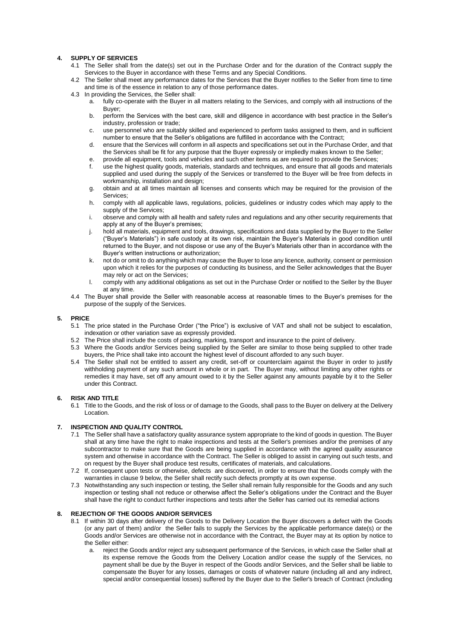# **4. SUPPLY OF SERVICES**

- 4.1 The Seller shall from the date(s) set out in the Purchase Order and for the duration of the Contract supply the Services to the Buyer in accordance with these Terms and any Special Conditions.
- 4.2 The Seller shall meet any performance dates for the Services that the Buyer notifies to the Seller from time to time and time is of the essence in relation to any of those performance dates.
- 4.3 In providing the Services, the Seller shall:
	- a. fully co-operate with the Buyer in all matters relating to the Services, and comply with all instructions of the Buyer;
		- b. perform the Services with the best care, skill and diligence in accordance with best practice in the Seller's industry, profession or trade;
		- c. use personnel who are suitably skilled and experienced to perform tasks assigned to them, and in sufficient number to ensure that the Seller's obligations are fulfilled in accordance with the Contract;
		- d. ensure that the Services will conform in all aspects and specifications set out in the Purchase Order, and that the Services shall be fit for any purpose that the Buyer expressly or impliedly makes known to the Seller;
		- e. provide all equipment, tools and vehicles and such other items as are required to provide the Services;
		- f. use the highest quality goods, materials, standards and techniques, and ensure that all goods and materials supplied and used during the supply of the Services or transferred to the Buyer will be free from defects in workmanship, installation and design:
		- g. obtain and at all times maintain all licenses and consents which may be required for the provision of the Services;
		- h. comply with all applicable laws, regulations, policies, guidelines or industry codes which may apply to the supply of the Services;
		- observe and comply with all health and safety rules and regulations and any other security requirements that apply at any of the Buyer's premises;
		- j. hold all materials, equipment and tools, drawings, specifications and data supplied by the Buyer to the Seller ("Buyer's Materials") in safe custody at its own risk, maintain the Buyer's Materials in good condition until returned to the Buyer, and not dispose or use any of the Buyer's Materials other than in accordance with the Buyer's written instructions or authorization;
		- k. not do or omit to do anything which may cause the Buyer to lose any licence, authority, consent or permission upon which it relies for the purposes of conducting its business, and the Seller acknowledges that the Buyer may rely or act on the Services;
	- l. comply with any additional obligations as set out in the Purchase Order or notified to the Seller by the Buyer at any time.
- 4.4 The Buyer shall provide the Seller with reasonable access at reasonable times to the Buyer's premises for the purpose of the supply of the Services.

## **5. PRICE**

- 5.1 The price stated in the Purchase Order ("the Price") is exclusive of VAT and shall not be subject to escalation, indexation or other variation save as expressly provided.
- 5.2 The Price shall include the costs of packing, marking, transport and insurance to the point of delivery.
- 5.3 Where the Goods and/or Services being supplied by the Seller are similar to those being supplied to other trade buyers, the Price shall take into account the highest level of discount afforded to any such buyer.
- 5.4 The Seller shall not be entitled to assert any credit, set-off or counterclaim against the Buyer in order to justify withholding payment of any such amount in whole or in part. The Buyer may, without limiting any other rights or remedies it may have, set off any amount owed to it by the Seller against any amounts payable by it to the Seller under this Contract.

# **6. RISK AND TITLE**

6.1 Title to the Goods, and the risk of loss or of damage to the Goods, shall pass to the Buyer on delivery at the Delivery Location.

# **7. INSPECTION AND QUALITY CONTROL**

- 7.1 The Seller shall have a satisfactory quality assurance system appropriate to the kind of goods in question. The Buyer shall at any time have the right to make inspections and tests at the Seller's premises and/or the premises of any subcontractor to make sure that the Goods are being supplied in accordance with the agreed quality assurance system and otherwise in accordance with the Contract. The Seller is obliged to assist in carrying out such tests, and on request by the Buyer shall produce test results, certificates of materials, and calculations.
- 7.2 If, consequent upon tests or otherwise, defects are discovered, in order to ensure that the Goods comply with the warranties in clause 9 below, the Seller shall rectify such defects promptly at its own expense.
- 7.3 Notwithstanding any such inspection or testing, the Seller shall remain fully responsible for the Goods and any such inspection or testing shall not reduce or otherwise affect the Seller's obligations under the Contract and the Buyer shall have the right to conduct further inspections and tests after the Seller has carried out its remedial actions

# **8. REJECTION OF THE GOODS AND/OR SERVICES**

- 8.1 If within 30 days after delivery of the Goods to the Delivery Location the Buyer discovers a defect with the Goods (or any part of them) and/or the Seller fails to supply the Services by the applicable performance date(s) or the Goods and/or Services are otherwise not in accordance with the Contract, the Buyer may at its option by notice to the Seller either:
	- reject the Goods and/or reject any subsequent performance of the Services, in which case the Seller shall at its expense remove the Goods from the Delivery Location and/or cease the supply of the Services, no payment shall be due by the Buyer in respect of the Goods and/or Services, and the Seller shall be liable to compensate the Buyer for any losses, damages or costs of whatever nature (including all and any indirect, special and/or consequential losses) suffered by the Buyer due to the Seller's breach of Contract (including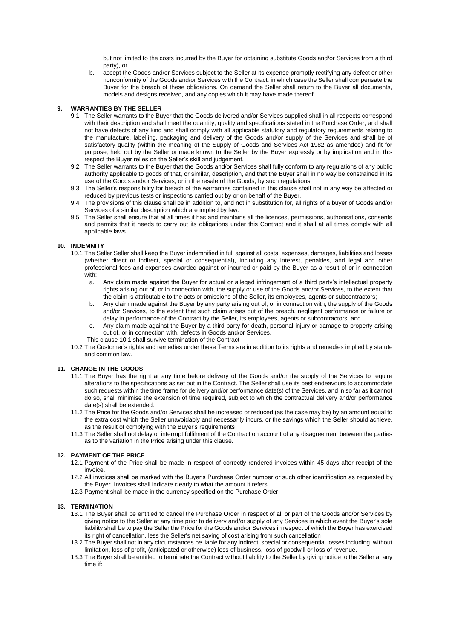but not limited to the costs incurred by the Buyer for obtaining substitute Goods and/or Services from a third party), or

b. accept the Goods and/or Services subject to the Seller at its expense promptly rectifying any defect or other nonconformity of the Goods and/or Services with the Contract, in which case the Seller shall compensate the Buyer for the breach of these obligations. On demand the Seller shall return to the Buyer all documents, models and designs received, and any copies which it may have made thereof.

## **9. WARRANTIES BY THE SELLER**

- 9.1 The Seller warrants to the Buyer that the Goods delivered and/or Services supplied shall in all respects correspond with their description and shall meet the quantity, quality and specifications stated in the Purchase Order, and shall not have defects of any kind and shall comply with all applicable statutory and regulatory requirements relating to the manufacture, labelling, packaging and delivery of the Goods and/or supply of the Services and shall be of satisfactory quality (within the meaning of the Supply of Goods and Services Act 1982 as amended) and fit for purpose, held out by the Seller or made known to the Seller by the Buyer expressly or by implication and in this respect the Buyer relies on the Seller's skill and judgement.
- 9.2 The Seller warrants to the Buyer that the Goods and/or Services shall fully conform to any regulations of any public authority applicable to goods of that, or similar, description, and that the Buyer shall in no way be constrained in its use of the Goods and/or Services, or in the resale of the Goods, by such regulations.
- 9.3 The Seller's responsibility for breach of the warranties contained in this clause shall not in any way be affected or reduced by previous tests or inspections carried out by or on behalf of the Buyer.
- 9.4 The provisions of this clause shall be in addition to, and not in substitution for, all rights of a buyer of Goods and/or Services of a similar description which are implied by law.
- 9.5 The Seller shall ensure that at all times it has and maintains all the licences, permissions, authorisations, consents and permits that it needs to carry out its obligations under this Contract and it shall at all times comply with all applicable laws.

#### **10. INDEMNITY**

- 10.1 The Seller Seller shall keep the Buyer indemnified in full against all costs, expenses, damages, liabilities and losses (whether direct or indirect, special or consequential), including any interest, penalties, and legal and other professional fees and expenses awarded against or incurred or paid by the Buyer as a result of or in connection with:
	- a. Any claim made against the Buyer for actual or alleged infringement of a third party's intellectual property rights arising out of, or in connection with, the supply or use of the Goods and/or Services, to the extent that the claim is attributable to the acts or omissions of the Seller, its employees, agents or subcontractors;
	- b. Any claim made against the Buyer by any party arising out of, or in connection with, the supply of the Goods and/or Services, to the extent that such claim arises out of the breach, negligent performance or failure or delay in performance of the Contract by the Seller, its employees, agents or subcontractors; and
	- c. Any claim made against the Buyer by a third party for death, personal injury or damage to property arising out of, or in connection with, defects in Goods and/or Services.
	- This clause 10.1 shall survive termination of the Contract
- 10.2 The Customer's rights and remedies under these Terms are in addition to its rights and remedies implied by statute and common law.

# **11. CHANGE IN THE GOODS**

- 11.1 The Buyer has the right at any time before delivery of the Goods and/or the supply of the Services to require alterations to the specifications as set out in the Contract. The Seller shall use its best endeavours to accommodate such requests within the time frame for delivery and/or performance date(s) of the Services, and in so far as it cannot do so, shall minimise the extension of time required, subject to which the contractual delivery and/or performance date(s) shall be extended.
- 11.2 The Price for the Goods and/or Services shall be increased or reduced (as the case may be) by an amount equal to the extra cost which the Seller unavoidably and necessarily incurs, or the savings which the Seller should achieve, as the result of complying with the Buyer's requirements
- 11.3 The Seller shall not delay or interrupt fulfilment of the Contract on account of any disagreement between the parties as to the variation in the Price arising under this clause.

#### **12. PAYMENT OF THE PRICE**

- 12.1 Payment of the Price shall be made in respect of correctly rendered invoices within 45 days after receipt of the invoice.
- 12.2 All invoices shall be marked with the Buyer's Purchase Order number or such other identification as requested by the Buyer. Invoices shall indicate clearly to what the amount it refers.
- 12.3 Payment shall be made in the currency specified on the Purchase Order.

#### **13. TERMINATION**

- 13.1 The Buyer shall be entitled to cancel the Purchase Order in respect of all or part of the Goods and/or Services by giving notice to the Seller at any time prior to delivery and/or supply of any Services in which event the Buyer's sole liability shall be to pay the Seller the Price for the Goods and/or Services in respect of which the Buyer has exercised its right of cancellation, less the Seller's net saving of cost arising from such cancellation
- 13.2 The Buyer shall not in any circumstances be liable for any indirect, special or consequential losses including, without limitation, loss of profit, (anticipated or otherwise) loss of business, loss of goodwill or loss of revenue.
- 13.3 The Buyer shall be entitled to terminate the Contract without liability to the Seller by giving notice to the Seller at any time if: